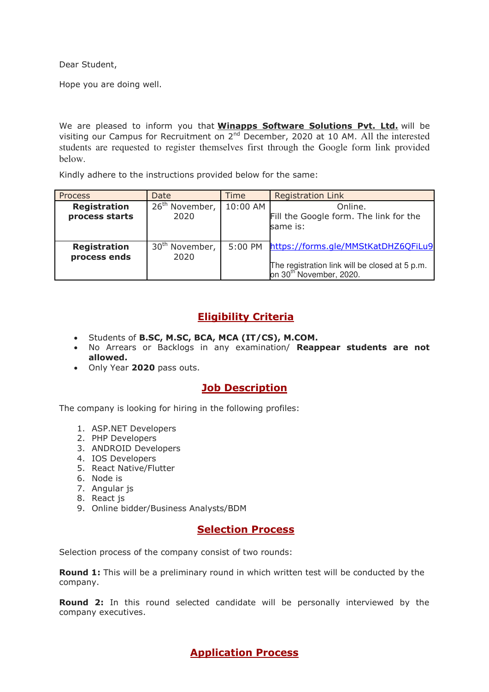Dear Student,

Hope you are doing well.

We are pleased to inform you that **Winapps Software Solutions Pvt. Ltd.** will be visiting our Campus for Recruitment on 2nd December, 2020 at 10 AM. All the interested students are requested to register themselves first through the Google form link provided below.

Kindly adhere to the instructions provided below for the same:

| <b>Process</b>                        | Date                                  | Time      | <b>Registration Link</b>                                                                                                     |
|---------------------------------------|---------------------------------------|-----------|------------------------------------------------------------------------------------------------------------------------------|
| <b>Registration</b><br>process starts | 26 <sup>th</sup><br>November,<br>2020 | 10:00 AM  | Online.<br>Fill the Google form. The link for the<br>same is:                                                                |
| <b>Registration</b><br>process ends   | 30 <sup>th</sup> November,<br>2020    | $5:00$ PM | https://forms.gle/MMStKatDHZ6QFiLu9<br>The registration link will be closed at 5 p.m.<br>on 30 <sup>th November, 2020.</sup> |

# **Eligibility Criteria**

- Students of **B.SC, M.SC, BCA, MCA (IT/CS), M.COM.**
- No Arrears or Backlogs in any examination/ **Reappear students are not allowed.**
- Only Year **2020** pass outs.

## **Job Description**

The company is looking for hiring in the following profiles:

- 1. ASP.NET Developers
- 2. PHP Developers
- 3. ANDROID Developers
- 4. IOS Developers
- 5. React Native/Flutter
- 6. Node is
- 7. Angular js
- 8. React js
- 9. Online bidder/Business Analysts/BDM

### **Selection Process**

Selection process of the company consist of two rounds:

**Round 1:** This will be a preliminary round in which written test will be conducted by the company.

**Round 2:** In this round selected candidate will be personally interviewed by the company executives.